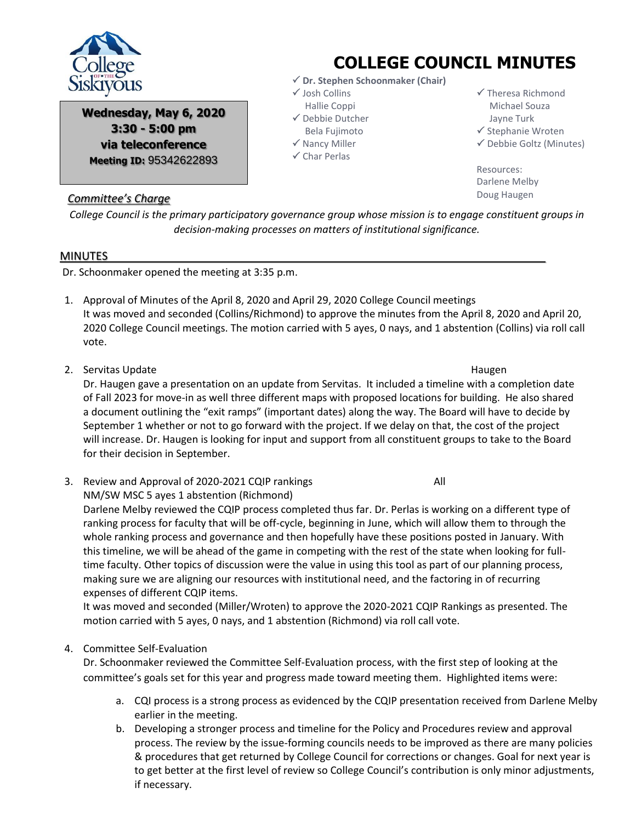

**Wednesday, May 6, 2020 3:30 - 5:00 pm via teleconference Meeting ID:** 95342622893

## *Committee's Charge*

*College Council is the primary participatory governance group whose mission is to engage constituent groups in decision-making processes on matters of institutional significance.*

## MINUTES

Dr. Schoonmaker opened the meeting at 3:35 p.m.

- 1. Approval of Minutes of the April 8, 2020 and April 29, 2020 College Council meetings It was moved and seconded (Collins/Richmond) to approve the minutes from the April 8, 2020 and April 20, 2020 College Council meetings. The motion carried with 5 ayes, 0 nays, and 1 abstention (Collins) via roll call vote.
- 2. Servitas Update **Haugen** Haugen Haugen Schwarze Eines Einstein Eines Eines Eines Eines Eines Eines Eines Eines

Dr. Haugen gave a presentation on an update from Servitas. It included a timeline with a completion date of Fall 2023 for move-in as well three different maps with proposed locations for building. He also shared a document outlining the "exit ramps" (important dates) along the way. The Board will have to decide by September 1 whether or not to go forward with the project. If we delay on that, the cost of the project will increase. Dr. Haugen is looking for input and support from all constituent groups to take to the Board for their decision in September.

3. Review and Approval of 2020-2021 CQIP rankings Theorem 2011 NM/SW MSC 5 ayes 1 abstention (Richmond)

Darlene Melby reviewed the CQIP process completed thus far. Dr. Perlas is working on a different type of ranking process for faculty that will be off-cycle, beginning in June, which will allow them to through the whole ranking process and governance and then hopefully have these positions posted in January. With this timeline, we will be ahead of the game in competing with the rest of the state when looking for fulltime faculty. Other topics of discussion were the value in using this tool as part of our planning process, making sure we are aligning our resources with institutional need, and the factoring in of recurring expenses of different CQIP items.

It was moved and seconded (Miller/Wroten) to approve the 2020-2021 CQIP Rankings as presented. The motion carried with 5 ayes, 0 nays, and 1 abstention (Richmond) via roll call vote.

## 4. Committee Self-Evaluation

Dr. Schoonmaker reviewed the Committee Self-Evaluation process, with the first step of looking at the committee's goals set for this year and progress made toward meeting them. Highlighted items were:

- a. CQI process is a strong process as evidenced by the CQIP presentation received from Darlene Melby earlier in the meeting.
- b. Developing a stronger process and timeline for the Policy and Procedures review and approval process. The review by the issue-forming councils needs to be improved as there are many policies & procedures that get returned by College Council for corrections or changes. Goal for next year is to get better at the first level of review so College Council's contribution is only minor adjustments, if necessary.

## **COLLEGE COUNCIL MINUTES**

- **Dr. Stephen Schoonmaker (Chair)**
- $\checkmark$  Josh Collins
- Hallie Coppi
- Debbie Dutcher
- Bela Fujimoto  $\checkmark$  Nancy Miller
- $\checkmark$  Char Perlas

 $\checkmark$  Stephanie Wroten  $\checkmark$  Debbie Goltz (Minutes)

 $\checkmark$  Theresa Richmond Michael Souza Jayne Turk

Resources: Darlene Melby Doug Haugen